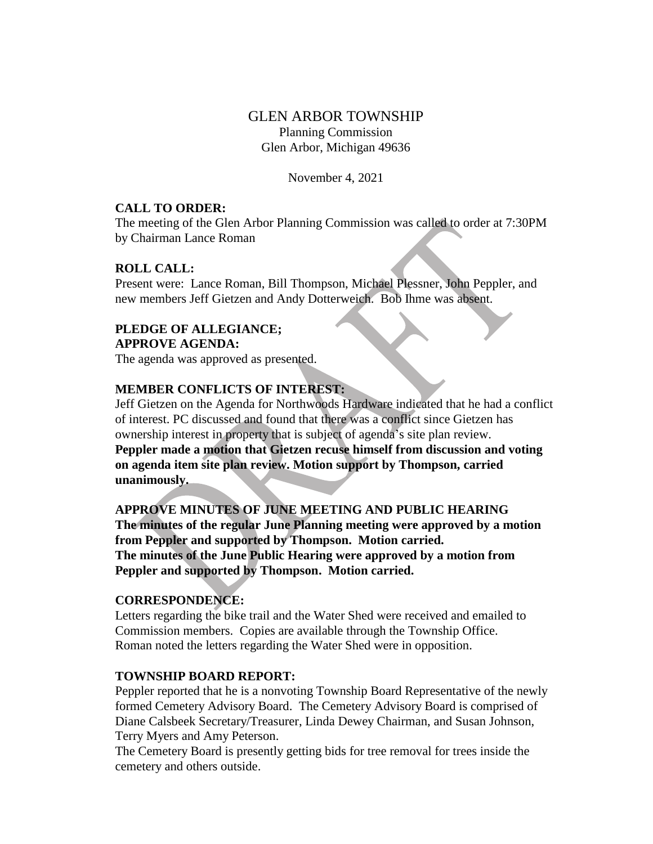# GLEN ARBOR TOWNSHIP Planning Commission Glen Arbor, Michigan 49636

November 4, 2021

### **CALL TO ORDER:**

The meeting of the Glen Arbor Planning Commission was called to order at 7:30PM by Chairman Lance Roman

#### **ROLL CALL:**

Present were: Lance Roman, Bill Thompson, Michael Plessner, John Peppler, and new members Jeff Gietzen and Andy Dotterweich. Bob Ihme was absent.

### **PLEDGE OF ALLEGIANCE; APPROVE AGENDA:**

The agenda was approved as presented.

#### **MEMBER CONFLICTS OF INTEREST:**

Jeff Gietzen on the Agenda for Northwoods Hardware indicated that he had a conflict of interest. PC discussed and found that there was a conflict since Gietzen has ownership interest in property that is subject of agenda's site plan review. **Peppler made a motion that Gietzen recuse himself from discussion and voting on agenda item site plan review. Motion support by Thompson, carried unanimously.**

**APPROVE MINUTES OF JUNE MEETING AND PUBLIC HEARING The minutes of the regular June Planning meeting were approved by a motion from Peppler and supported by Thompson. Motion carried. The minutes of the June Public Hearing were approved by a motion from Peppler and supported by Thompson. Motion carried.**

#### **CORRESPONDENCE:**

Letters regarding the bike trail and the Water Shed were received and emailed to Commission members. Copies are available through the Township Office. Roman noted the letters regarding the Water Shed were in opposition.

#### **TOWNSHIP BOARD REPORT:**

Peppler reported that he is a nonvoting Township Board Representative of the newly formed Cemetery Advisory Board. The Cemetery Advisory Board is comprised of Diane Calsbeek Secretary/Treasurer, Linda Dewey Chairman, and Susan Johnson, Terry Myers and Amy Peterson.

The Cemetery Board is presently getting bids for tree removal for trees inside the cemetery and others outside.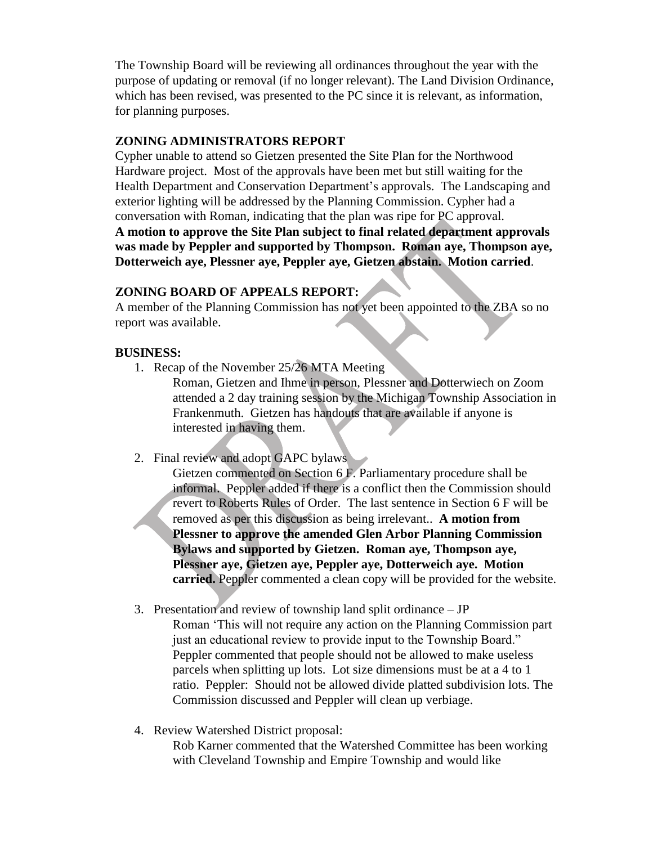The Township Board will be reviewing all ordinances throughout the year with the purpose of updating or removal (if no longer relevant). The Land Division Ordinance, which has been revised, was presented to the PC since it is relevant, as information, for planning purposes.

## **ZONING ADMINISTRATORS REPORT**

Cypher unable to attend so Gietzen presented the Site Plan for the Northwood Hardware project. Most of the approvals have been met but still waiting for the Health Department and Conservation Department's approvals. The Landscaping and exterior lighting will be addressed by the Planning Commission. Cypher had a conversation with Roman, indicating that the plan was ripe for PC approval. **A motion to approve the Site Plan subject to final related department approvals was made by Peppler and supported by Thompson. Roman aye, Thompson aye, Dotterweich aye, Plessner aye, Peppler aye, Gietzen abstain. Motion carried**.

# **ZONING BOARD OF APPEALS REPORT:**

A member of the Planning Commission has not yet been appointed to the ZBA so no report was available.

# **BUSINESS:**

- 1. Recap of the November 25/26 MTA Meeting
	- Roman, Gietzen and Ihme in person, Plessner and Dotterwiech on Zoom attended a 2 day training session by the Michigan Township Association in Frankenmuth. Gietzen has handouts that are available if anyone is interested in having them.
- 2. Final review and adopt GAPC bylaws
	- Gietzen commented on Section 6 F. Parliamentary procedure shall be informal. Peppler added if there is a conflict then the Commission should revert to Roberts Rules of Order. The last sentence in Section 6 F will be removed as per this discussion as being irrelevant.. **A motion from Plessner to approve the amended Glen Arbor Planning Commission Bylaws and supported by Gietzen. Roman aye, Thompson aye, Plessner aye, Gietzen aye, Peppler aye, Dotterweich aye. Motion carried.** Peppler commented a clean copy will be provided for the website.
- 3. Presentation and review of township land split ordinance JP Roman 'This will not require any action on the Planning Commission part just an educational review to provide input to the Township Board." Peppler commented that people should not be allowed to make useless parcels when splitting up lots. Lot size dimensions must be at a 4 to 1 ratio. Peppler: Should not be allowed divide platted subdivision lots. The Commission discussed and Peppler will clean up verbiage.
- 4. Review Watershed District proposal:

Rob Karner commented that the Watershed Committee has been working with Cleveland Township and Empire Township and would like